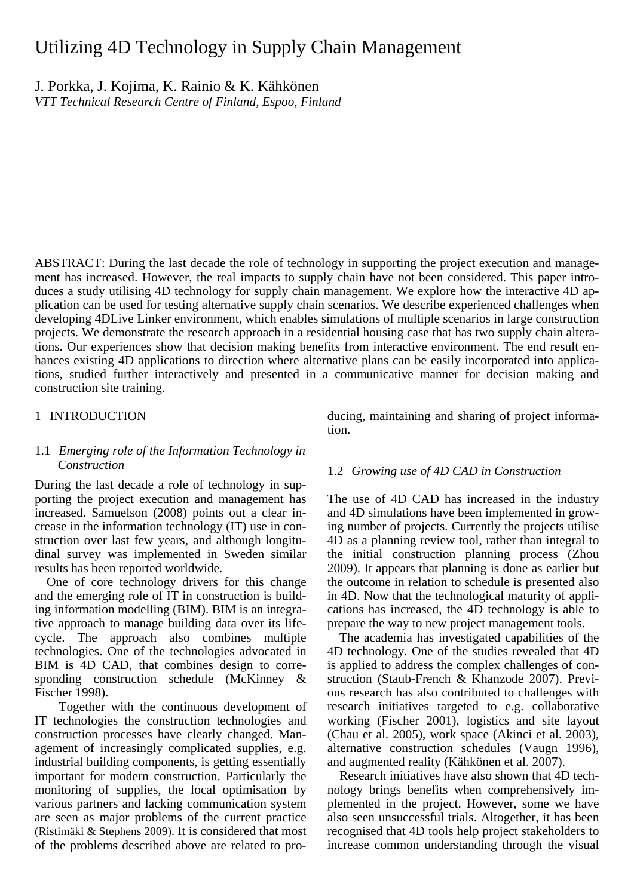# Utilizing 4D Technology in Supply Chain Management

J. Porkka, J. Kojima, K. Rainio & K. Kähkönen *VTT Technical Research Centre of Finland, Espoo, Finland* 

ABSTRACT: During the last decade the role of technology in supporting the project execution and management has increased. However, the real impacts to supply chain have not been considered. This paper introduces a study utilising 4D technology for supply chain management. We explore how the interactive 4D application can be used for testing alternative supply chain scenarios. We describe experienced challenges when developing 4DLive Linker environment, which enables simulations of multiple scenarios in large construction projects. We demonstrate the research approach in a residential housing case that has two supply chain alterations. Our experiences show that decision making benefits from interactive environment. The end result enhances existing 4D applications to direction where alternative plans can be easily incorporated into applications, studied further interactively and presented in a communicative manner for decision making and construction site training.

## 1 INTRODUCTION

# 1.1 *Emerging role of the Information Technology in Construction*

During the last decade a role of technology in supporting the project execution and management has increased. Samuelson (2008) points out a clear increase in the information technology (IT) use in construction over last few years, and although longitudinal survey was implemented in Sweden similar results has been reported worldwide.

One of core technology drivers for this change and the emerging role of IT in construction is building information modelling (BIM). BIM is an integrative approach to manage building data over its lifecycle. The approach also combines multiple technologies. One of the technologies advocated in BIM is 4D CAD, that combines design to corresponding construction schedule (McKinney & Fischer 1998).

 Together with the continuous development of IT technologies the construction technologies and construction processes have clearly changed. Management of increasingly complicated supplies, e.g. industrial building components, is getting essentially important for modern construction. Particularly the monitoring of supplies, the local optimisation by various partners and lacking communication system are seen as major problems of the current practice (Ristimäki & Stephens 2009). It is considered that most of the problems described above are related to producing, maintaining and sharing of project information.

## 1.2 *Growing use of 4D CAD in Construction*

The use of 4D CAD has increased in the industry and 4D simulations have been implemented in growing number of projects. Currently the projects utilise 4D as a planning review tool, rather than integral to the initial construction planning process (Zhou 2009). It appears that planning is done as earlier but the outcome in relation to schedule is presented also in 4D. Now that the technological maturity of applications has increased, the 4D technology is able to prepare the way to new project management tools.

The academia has investigated capabilities of the 4D technology. One of the studies revealed that 4D is applied to address the complex challenges of construction (Staub-French & Khanzode 2007). Previous research has also contributed to challenges with research initiatives targeted to e.g. collaborative working (Fischer 2001), logistics and site layout (Chau et al. 2005), work space (Akinci et al. 2003), alternative construction schedules (Vaugn 1996), and augmented reality (Kähkönen et al. 2007).

Research initiatives have also shown that 4D technology brings benefits when comprehensively implemented in the project. However, some we have also seen unsuccessful trials. Altogether, it has been recognised that 4D tools help project stakeholders to increase common understanding through the visual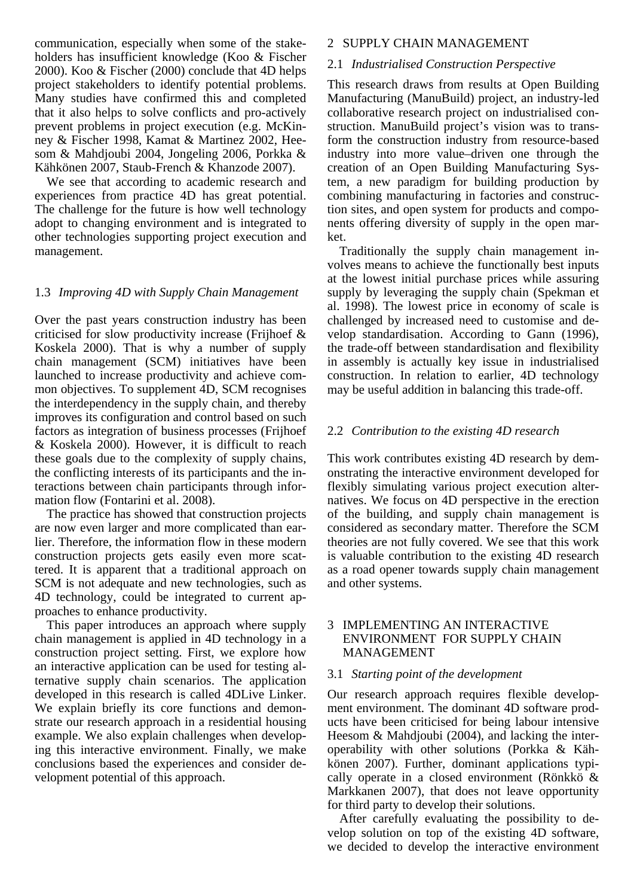communication, especially when some of the stakeholders has insufficient knowledge (Koo & Fischer 2000). Koo & Fischer (2000) conclude that 4D helps project stakeholders to identify potential problems. Many studies have confirmed this and completed that it also helps to solve conflicts and pro-actively prevent problems in project execution (e.g. McKinney & Fischer 1998, Kamat & Martinez 2002, Heesom & Mahdjoubi 2004, Jongeling 2006, Porkka & Kähkönen 2007, Staub-French & Khanzode 2007).

We see that according to academic research and experiences from practice 4D has great potential. The challenge for the future is how well technology adopt to changing environment and is integrated to other technologies supporting project execution and management.

### 1.3 *Improving 4D with Supply Chain Management*

Over the past years construction industry has been criticised for slow productivity increase (Frijhoef & Koskela 2000). That is why a number of supply chain management (SCM) initiatives have been launched to increase productivity and achieve common objectives. To supplement 4D, SCM recognises the interdependency in the supply chain, and thereby improves its configuration and control based on such factors as integration of business processes (Frijhoef & Koskela 2000). However, it is difficult to reach these goals due to the complexity of supply chains, the conflicting interests of its participants and the interactions between chain participants through information flow (Fontarini et al. 2008).

The practice has showed that construction projects are now even larger and more complicated than earlier. Therefore, the information flow in these modern construction projects gets easily even more scattered. It is apparent that a traditional approach on SCM is not adequate and new technologies, such as 4D technology, could be integrated to current approaches to enhance productivity.

This paper introduces an approach where supply chain management is applied in 4D technology in a construction project setting. First, we explore how an interactive application can be used for testing alternative supply chain scenarios. The application developed in this research is called 4DLive Linker. We explain briefly its core functions and demonstrate our research approach in a residential housing example. We also explain challenges when developing this interactive environment. Finally, we make conclusions based the experiences and consider development potential of this approach.

#### 2 SUPPLY CHAIN MANAGEMENT

#### 2.1 *Industrialised Construction Perspective*

This research draws from results at Open Building Manufacturing (ManuBuild) project, an industry-led collaborative research project on industrialised construction. ManuBuild project's vision was to transform the construction industry from resource-based industry into more value–driven one through the creation of an Open Building Manufacturing System, a new paradigm for building production by combining manufacturing in factories and construction sites, and open system for products and components offering diversity of supply in the open market.

Traditionally the supply chain management involves means to achieve the functionally best inputs at the lowest initial purchase prices while assuring supply by leveraging the supply chain (Spekman et al. 1998). The lowest price in economy of scale is challenged by increased need to customise and develop standardisation. According to Gann (1996), the trade-off between standardisation and flexibility in assembly is actually key issue in industrialised construction. In relation to earlier, 4D technology may be useful addition in balancing this trade-off.

#### 2.2 *Contribution to the existing 4D research*

This work contributes existing 4D research by demonstrating the interactive environment developed for flexibly simulating various project execution alternatives. We focus on 4D perspective in the erection of the building, and supply chain management is considered as secondary matter. Therefore the SCM theories are not fully covered. We see that this work is valuable contribution to the existing 4D research as a road opener towards supply chain management and other systems.

# 3 IMPLEMENTING AN INTERACTIVE ENVIRONMENT FOR SUPPLY CHAIN MANAGEMENT

#### 3.1 *Starting point of the development*

Our research approach requires flexible development environment. The dominant 4D software products have been criticised for being labour intensive Heesom & Mahdjoubi (2004), and lacking the interoperability with other solutions (Porkka & Kähkönen 2007). Further, dominant applications typically operate in a closed environment (Rönkkö & Markkanen 2007), that does not leave opportunity for third party to develop their solutions.

After carefully evaluating the possibility to develop solution on top of the existing 4D software, we decided to develop the interactive environment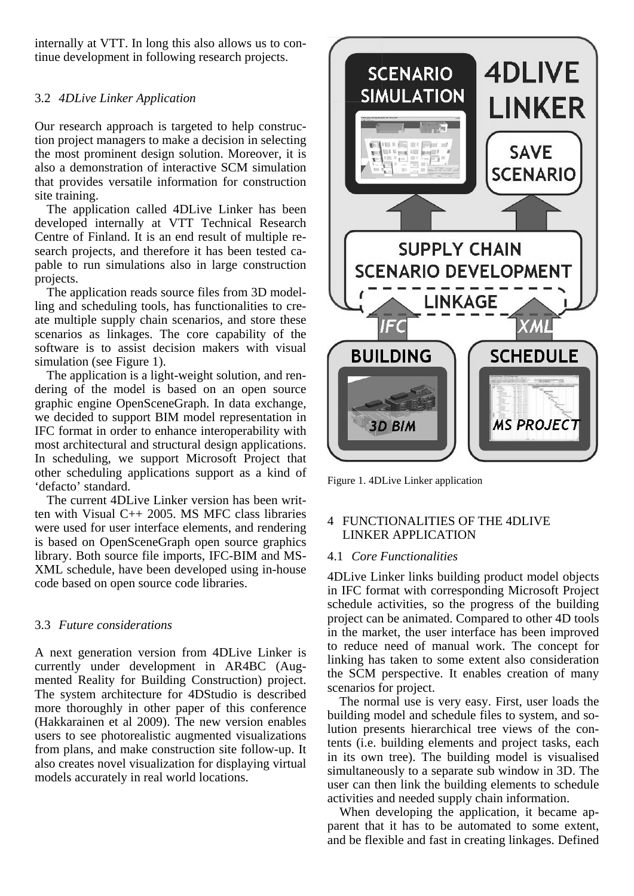internally at VTT. In long this also allows us to continue development in following research projects.

# 3.2 *4DLive Linker Application*

Our research approach is targeted to help construction project managers to make a decision in selecting the most prominent design solution. Moreover, it is also a demonstration of interactive SCM simulation that provides versatile information for construction site training.

The application called 4DLive Linker has been developed internally at VTT Technical Research Centre of Finland. It is an end result of multiple research projects, and therefore it has been tested capable to run simulations also in large construction projects.

The application reads source files from 3D modelling and scheduling tools, has functionalities to create multiple supply chain scenarios, and store these scenarios as linkages. The core capability of the software is to assist decision makers with visual simulation (see Figure 1).

The application is a light-weight solution, and rendering of the model is based on an open source graphic engine OpenSceneGraph. In data exchange, we decided to support BIM model representation in IFC format in order to enhance interoperability with most architectural and structural design applications. In scheduling, we support Microsoft Project that other scheduling applications support as a kind of 'defacto' standard.

The current 4DLive Linker version has been written with Visual C++ 2005. MS MFC class libraries were used for user interface elements, and rendering is based on OpenSceneGraph open source graphics library. Both source file imports, IFC-BIM and MS-XML schedule, have been developed using in-house code based on open source code libraries.

# 3.3 *Future considerations*

A next generation version from 4DLive Linker is currently under development in AR4BC (Augmented Reality for Building Construction) project. The system architecture for 4DStudio is described more thoroughly in other paper of this conference (Hakkarainen et al 2009). The new version enables users to see photorealistic augmented visualizations from plans, and make construction site follow-up. It also creates novel visualization for displaying virtual models accurately in real world locations.



Figure 1. 4DLive Linker application

# 4 FUNCTIONALITIES OF THE 4DLIVE LINKER APPLICATION

# 4.1 *Core Functionalities*

4DLive Linker links building product model objects in IFC format with corresponding Microsoft Project schedule activities, so the progress of the building project can be animated. Compared to other 4D tools in the market, the user interface has been improved to reduce need of manual work. The concept for linking has taken to some extent also consideration the SCM perspective. It enables creation of many scenarios for project.

The normal use is very easy. First, user loads the building model and schedule files to system, and solution presents hierarchical tree views of the contents (i.e. building elements and project tasks, each in its own tree). The building model is visualised simultaneously to a separate sub window in 3D. The user can then link the building elements to schedule activities and needed supply chain information.

When developing the application, it became apparent that it has to be automated to some extent, and be flexible and fast in creating linkages. Defined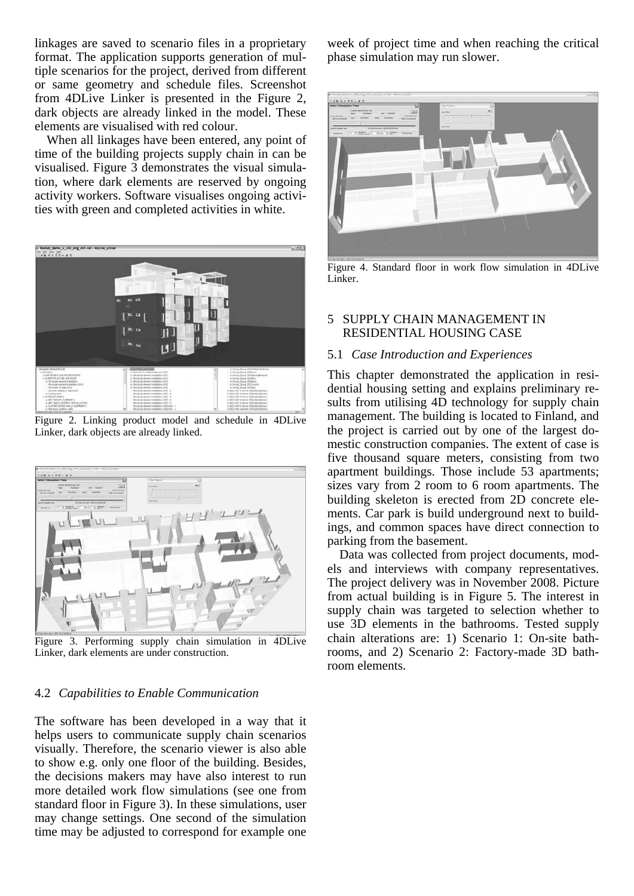linkages are saved to scenario files in a proprietary format. The application supports generation of multiple scenarios for the project, derived from different or same geometry and schedule files. Screenshot from 4DLive Linker is presented in the Figure 2, dark objects are already linked in the model. These elements are visualised with red colour.

When all linkages have been entered, any point of time of the building projects supply chain in can be visualised. Figure 3 demonstrates the visual simulation, where dark elements are reserved by ongoing activity workers. Software visualises ongoing activities with green and completed activities in white.



Figure 2. Linking product model and schedule in 4DLive Linker, dark objects are already linked.



Figure 3. Performing supply chain simulation in 4DLive Linker, dark elements are under construction.

# 4.2 *Capabilities to Enable Communication*

The software has been developed in a way that it helps users to communicate supply chain scenarios visually. Therefore, the scenario viewer is also able to show e.g. only one floor of the building. Besides, the decisions makers may have also interest to run more detailed work flow simulations (see one from standard floor in Figure 3). In these simulations, user may change settings. One second of the simulation time may be adjusted to correspond for example one

week of project time and when reaching the critical phase simulation may run slower.



Figure 4. Standard floor in work flow simulation in 4DLive Linker.

# 5 SUPPLY CHAIN MANAGEMENT IN RESIDENTIAL HOUSING CASE

## 5.1 *Case Introduction and Experiences*

This chapter demonstrated the application in residential housing setting and explains preliminary results from utilising 4D technology for supply chain management. The building is located to Finland, and the project is carried out by one of the largest domestic construction companies. The extent of case is five thousand square meters, consisting from two apartment buildings. Those include 53 apartments; sizes vary from 2 room to 6 room apartments. The building skeleton is erected from 2D concrete elements. Car park is build underground next to buildings, and common spaces have direct connection to parking from the basement.

Data was collected from project documents, models and interviews with company representatives. The project delivery was in November 2008. Picture from actual building is in Figure 5. The interest in supply chain was targeted to selection whether to use 3D elements in the bathrooms. Tested supply chain alterations are: 1) Scenario 1: On-site bathrooms, and 2) Scenario 2: Factory-made 3D bathroom elements.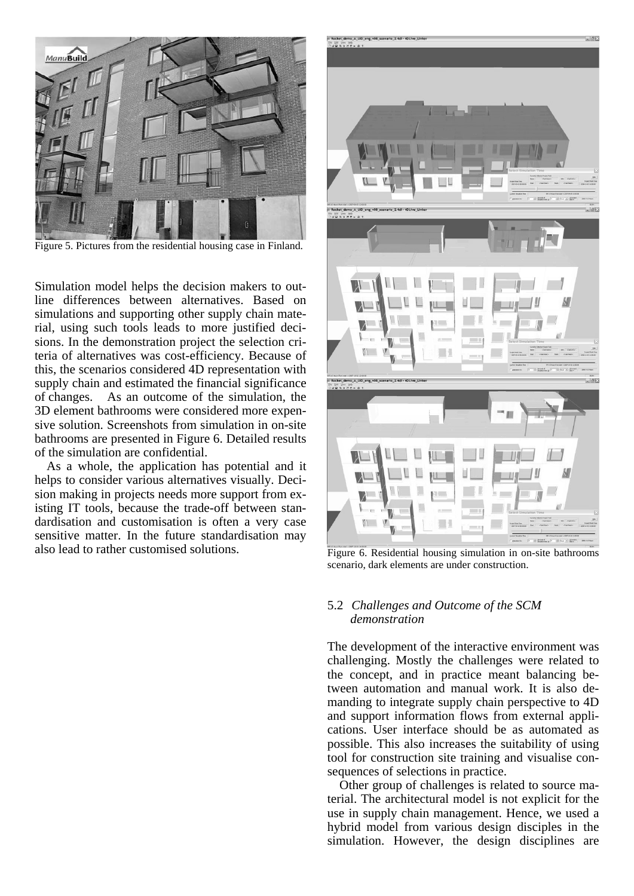

Figure 5. Pictures from the residential housing case in Finland.

Simulation model helps the decision makers to outline differences between alternatives. Based on simulations and supporting other supply chain material, using such tools leads to more justified decisions. In the demonstration project the selection criteria of alternatives was cost-efficiency. Because of this, the scenarios considered 4D representation with supply chain and estimated the financial significance of changes. As an outcome of the simulation, the 3D element bathrooms were considered more expensive solution. Screenshots from simulation in on-site bathrooms are presented in Figure 6. Detailed results of the simulation are confidential.

As a whole, the application has potential and it helps to consider various alternatives visually. Decision making in projects needs more support from existing IT tools, because the trade-off between standardisation and customisation is often a very case sensitive matter. In the future standardisation may also lead to rather customised solutions. Figure 6. Residential housing simulation in on-site bathrooms



scenario, dark elements are under construction.

## 5.2 *Challenges and Outcome of the SCM demonstration*

The development of the interactive environment was challenging. Mostly the challenges were related to the concept, and in practice meant balancing between automation and manual work. It is also demanding to integrate supply chain perspective to 4D and support information flows from external applications. User interface should be as automated as possible. This also increases the suitability of using tool for construction site training and visualise consequences of selections in practice.

 Other group of challenges is related to source material. The architectural model is not explicit for the use in supply chain management. Hence, we used a hybrid model from various design disciples in the simulation. However, the design disciplines are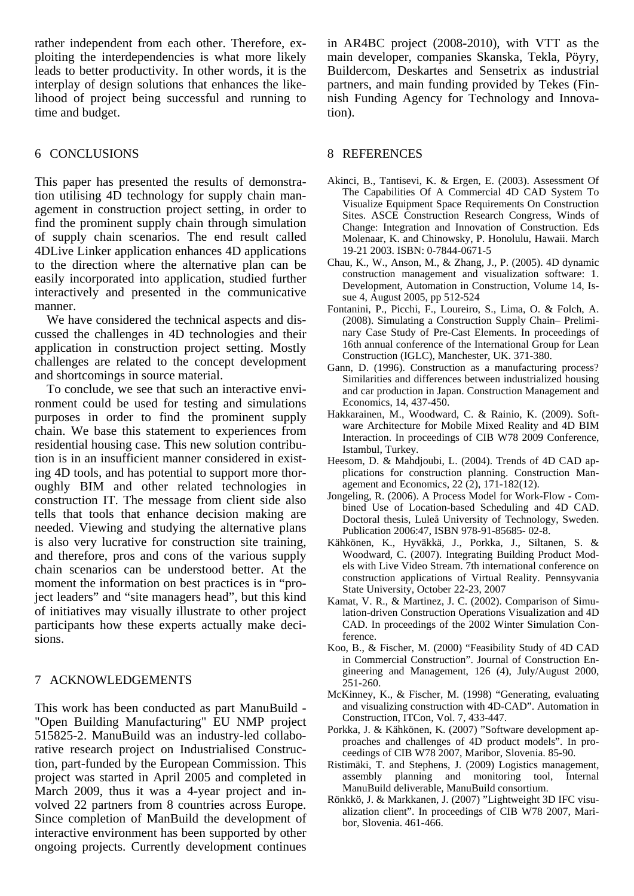rather independent from each other. Therefore, exploiting the interdependencies is what more likely leads to better productivity. In other words, it is the interplay of design solutions that enhances the likelihood of project being successful and running to time and budget.

## 6 CONCLUSIONS

This paper has presented the results of demonstration utilising 4D technology for supply chain management in construction project setting, in order to find the prominent supply chain through simulation of supply chain scenarios. The end result called 4DLive Linker application enhances 4D applications to the direction where the alternative plan can be easily incorporated into application, studied further interactively and presented in the communicative manner.

We have considered the technical aspects and discussed the challenges in 4D technologies and their application in construction project setting. Mostly challenges are related to the concept development and shortcomings in source material.

To conclude, we see that such an interactive environment could be used for testing and simulations purposes in order to find the prominent supply chain. We base this statement to experiences from residential housing case. This new solution contribution is in an insufficient manner considered in existing 4D tools, and has potential to support more thoroughly BIM and other related technologies in construction IT. The message from client side also tells that tools that enhance decision making are needed. Viewing and studying the alternative plans is also very lucrative for construction site training, and therefore, pros and cons of the various supply chain scenarios can be understood better. At the moment the information on best practices is in "project leaders" and "site managers head", but this kind of initiatives may visually illustrate to other project participants how these experts actually make decisions.

# 7 ACKNOWLEDGEMENTS

This work has been conducted as part ManuBuild - "Open Building Manufacturing" EU NMP project 515825-2. ManuBuild was an industry-led collaborative research project on Industrialised Construction, part-funded by the European Commission. This project was started in April 2005 and completed in March 2009, thus it was a 4-year project and involved 22 partners from 8 countries across Europe. Since completion of ManBuild the development of interactive environment has been supported by other ongoing projects. Currently development continues

in AR4BC project (2008-2010), with VTT as the main developer, companies Skanska, Tekla, Pöyry, Buildercom, Deskartes and Sensetrix as industrial partners, and main funding provided by Tekes (Finnish Funding Agency for Technology and Innovation).

#### 8 REFERENCES

- Akinci, B., Tantisevi, K. & Ergen, E. (2003). Assessment Of The Capabilities Of A Commercial 4D CAD System To Visualize Equipment Space Requirements On Construction Sites. ASCE Construction Research Congress, Winds of Change: Integration and Innovation of Construction. Eds Molenaar, K. and Chinowsky, P. Honolulu, Hawaii. March 19-21 2003. ISBN: 0-7844-0671-5
- Chau, K., W., Anson, M., & Zhang, J., P. (2005). 4D dynamic construction management and visualization software: 1. Development, Automation in Construction, Volume 14, Issue 4, August 2005, pp 512-524
- Fontanini, P., Picchi, F., Loureiro, S., Lima, O. & Folch, A. (2008). Simulating a Construction Supply Chain– Preliminary Case Study of Pre-Cast Elements. In proceedings of 16th annual conference of the International Group for Lean Construction (IGLC), Manchester, UK. 371-380.
- Gann, D. (1996). Construction as a manufacturing process? Similarities and differences between industrialized housing and car production in Japan. Construction Management and Economics, 14, 437-450.
- Hakkarainen, M., Woodward, C. & Rainio, K. (2009). Software Architecture for Mobile Mixed Reality and 4D BIM Interaction. In proceedings of CIB W78 2009 Conference, Istambul, Turkey.
- Heesom, D. & Mahdjoubi, L. (2004). Trends of 4D CAD applications for construction planning. Construction Management and Economics,  $22(2)$ ,  $171-182(12)$ .
- Jongeling, R. (2006). A Process Model for Work-Flow Combined Use of Location-based Scheduling and 4D CAD. Doctoral thesis, Luleå University of Technology, Sweden. Publication 2006:47, ISBN 978-91-85685- 02-8.
- Kähkönen, K., Hyväkkä, J., Porkka, J., Siltanen, S. & Woodward, C. (2007). Integrating Building Product Models with Live Video Stream. 7th international conference on construction applications of Virtual Reality. Pennsyvania State University, October 22-23, 2007
- Kamat, V. R., & Martinez, J. C. (2002). Comparison of Simulation-driven Construction Operations Visualization and 4D CAD. In proceedings of the 2002 Winter Simulation Conference.
- Koo, B., & Fischer, M. (2000) "Feasibility Study of 4D CAD in Commercial Construction". Journal of Construction Engineering and Management, 126 (4), July/August 2000, 251-260.
- McKinney, K., & Fischer, M. (1998) "Generating, evaluating and visualizing construction with 4D-CAD". Automation in Construction, ITCon, Vol. 7, 433-447.
- Porkka, J. & Kähkönen, K. (2007) "Software development approaches and challenges of 4D product models". In proceedings of CIB W78 2007, Maribor, Slovenia. 85-90.
- Ristimäki, T. and Stephens, J. (2009) Logistics management, assembly planning and monitoring tool, Internal ManuBuild deliverable, ManuBuild consortium.
- Rönkkö, J. & Markkanen, J. (2007) "Lightweight 3D IFC visualization client". In proceedings of CIB W78 2007, Maribor, Slovenia. 461-466.